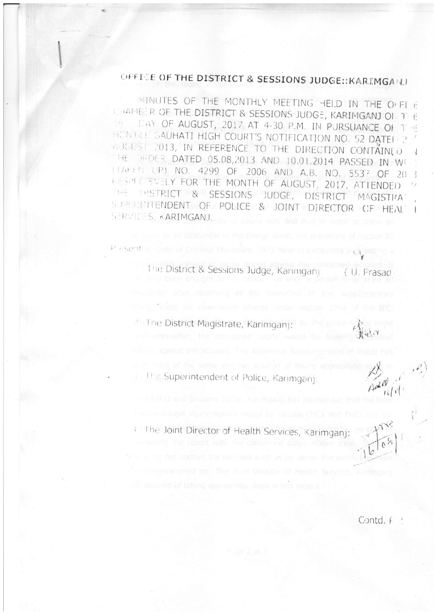## OFFICE OF THE DISTRICT & SESSIONS JUDGE:: KARIMGANJ

MINUTES OF THE MONTHLY MEETING HELD IN THE OFFICE CHAMBER OF THE DISTRICT & SESSIONS JUDGE, KARIMGANJ ON THE LAY OF AUGUST, 2017 AT 4-30 P.M. IN PURSUANCE OF THE  $16^{\circ}$ HON'ELE GAUHATI HIGH COURT'S NOTIFICATION NO. 52 DATEN 2 AUGUST 2013, IN REFERENCE TO THE DIRECTION CONTAINED THE DRIDER DATED 05.08,2013 AND 10.01.2014 PASSED IN WF (TAKEN UP) NO. 4299 OF 2006 AND A.B. NO. 5537 OF 20 -3 RESPECTIVELY FOR THE MONTH OF AUGUST, 2017, ATTENDED THE DISTRICT & SESSIONS JUDGE, DISTRICT MAGISTIMA SUPERINTENDENT OF POLICE & JOINT DIRECTOR OF HEAL  $\overline{\mathbf{1}}$ SERVICES, KARIMGANJ.

> The District & Sessions Judge, Karimganj: (U. Prasad BRAN Brought in hor notice

startie sheet for commission offence under section 174A of the IPC

Present in Code of Criminal Procedure, 1973 have to exhausted and gotti

2 The District Magistrate, Karimganj:

In The Superintendent of Police, Karimgani

4 The Joint Director of Health Services, Karimganj:

ediescorted etc. The Joint Director of Health Services, Kinima

 $\int$   $\int$   $\int$ 

fram May

Contd. F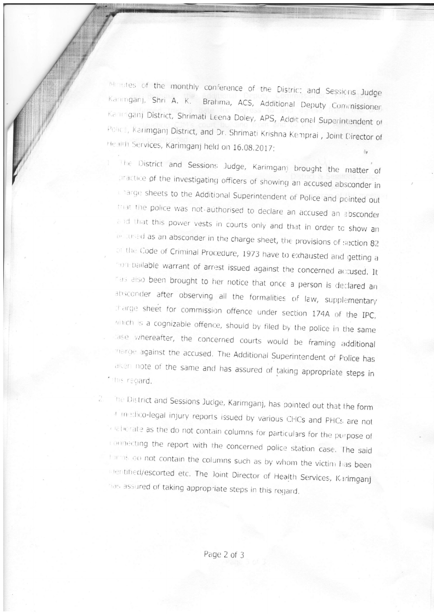Minutes of the monthly conference of the District and Sessions Judge Kaninganj, Shri A. K. Brahma, ACS, Additional Deputy Commissioner, Kaninganj District, Shrimati Leena Doley, APS, Additional Superintendent of POlice, Karimganj District, and Dr. Shrimati Krishna Kemprai, Joint Director of Health Services, Karimganj held on 16.08.2017:

The District and Sessions Judge, Karimganj brought the matter of practice of the investigating officers of showing an accused absconder in charge sheets to the Additional Superintendent of Police and pointed out triat the police was not-authorised to declare an accused an absconder and that this power vests in courts only and that in order to show an andused as an absconder in the charge sheet, the provisions of section 82 of the Code of Criminal Procedure, 1973 have to exhausted and getting a non-bailable warrant of arrest issued against the concerned accused. It has also been brought to her notice that once a person is declared an absconder after observing all the formalities of law, supplementary thange sheet for commission offence under section 174A of the IPC, which is a cognizable offence, should by filed by the police in the same case whereafter, the concerned courts would be framing additional marge against the accused. The Additional Superintendent of Police has aken note of the same and has assured of taking appropriate steps in \* this regard.

The District and Sessions Judge, Karimganj, has pointed out that the form of inectico-legal injury reports issued by various CHCs and PHCs are not lelaborate as the do not contain columns for particulars for the purpose of connecting the report with the concerned police station case. The said forms do not contain the columns such as by whom the victim has been Dentified/escorted etc. The Joint Director of Health Services, Karlmganj has assured of taking appropriate steps in this regard.